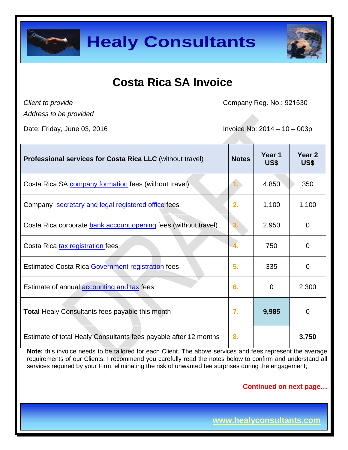



## **Costa Rica SA Invoice**

*Client to provide*

Company Reg. No.: 921530

*Address to be provided*

Date: Friday, June 03, 2016 **Invoice No: 2014 – 10 – 003p** 

| <b>Professional services for Costa Rica LLC (without travel)</b> | <b>Notes</b> | Year 1<br>US\$ | Year 2<br>US\$ |
|------------------------------------------------------------------|--------------|----------------|----------------|
| Costa Rica SA company formation fees (without travel)            |              | 4,850          | 350            |
| Company secretary and legal registered office fees               | 2.           | 1,100          | 1,100          |
| Costa Rica corporate bank account opening fees (without travel)  | 3.           | 2,950          | $\overline{0}$ |
| Costa Rica tax registration fees                                 | 4.           | 750            | 0              |
| Estimated Costa Rica Government registration fees                | 5.           | 335            | 0              |
| Estimate of annual accounting and tax fees                       | 6.           | $\overline{0}$ | 2,300          |
| <b>Total Healy Consultants fees payable this month</b>           | 7.           | 9,985          | $\overline{0}$ |
| Estimate of total Healy Consultants fees payable after 12 months | 8.           |                | 3,750          |

**Note:** this invoice needs to be tailored for each Client. The above services and fees represent the average requirements of our Clients. I recommend you carefully read the notes below to confirm and understand all services required by your Firm, eliminating the risk of unwanted fee surprises during the engagement;

**Continued on next page…**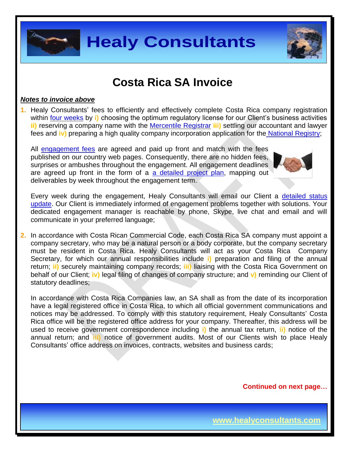

### **Costa Rica SA Invoice**

#### *Notes to invoice above*

**1.** Healy Consultants' fees to efficiently and effectively complete Costa Rica company registration within [four weeks](http://www.healyconsultants.com/costa-rica-company-registration/fees-timelines/#timelines) by **i)** choosing the optimum regulatory license for our Client's business activities **ii)** reserving a company name with the [Mercentile Registrar](http://www.crearempresa.go.cr/) **iii)** settling our accountant and lawyer fees and **iv)** preparing a high quality company incorporation application for the [National Registry;](http://www.registronacional.go.cr/)

All [engagement fees](http://www.healyconsultants.com/company-registration-fees/) are agreed and paid up front and match with the fees published on our country web pages. Consequently, there are no hidden fees, surprises or ambushes throughout the engagement. All engagement deadlines are agreed up front in the form of a [a detailed project plan,](http://www.healyconsultants.com/index-important-links/example-project-plan/) mapping out deliverables by week throughout the engagement term.



Every week during the engagement, Healy Consultants will email our Client a [detailed status](http://www.healyconsultants.com/index-important-links/weekly-engagement-status-email/)  [update.](http://www.healyconsultants.com/index-important-links/weekly-engagement-status-email/) Our Client is immediately informed of engagement problems together with solutions. Your dedicated engagement manager is reachable by phone, Skype, live chat and email and will communicate in your preferred language;

**2.** In accordance with Costa Rican Commercial Code, each Costa Rica SA company must appoint a company secretary, who may be a natural person or a body corporate, but the company secretary must be resident in Costa Rica. Healy Consultants will act as your Costa Rica Company Secretary, for which our annual responsibilities include **i)** preparation and filing of the annual return; **ii)** securely maintaining company records; **iii)** liaising with the Costa Rica Government on behalf of our Client; **iv)** legal filing of changes of company structure; and **v)** reminding our Client of statutory deadlines;

In accordance with Costa Rica Companies law, an SA shall as from the date of its incorporation have a legal registered office in Costa Rica, to which all official government communications and notices may be addressed. To comply with this statutory requirement, Healy Consultants' Costa Rica office will be the registered office address for your company. Thereafter, this address will be used to receive government correspondence including **i)** the annual tax return, **ii)** notice of the annual return; and **iii)** notice of government audits. Most of our Clients wish to place Healy Consultants' office address on invoices, contracts, websites and business cards;

**Continued on next page…**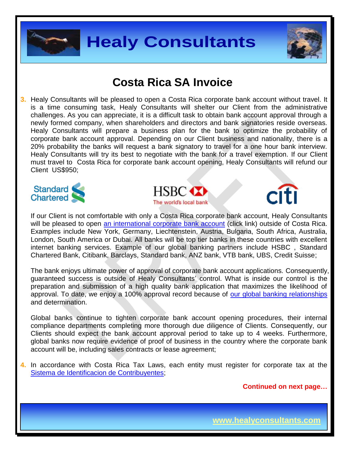



### **Costa Rica SA Invoice**

**3.** Healy Consultants will be pleased to open a Costa Rica corporate bank account without travel. It is a time consuming task, Healy Consultants will shelter our Client from the administrative challenges. As you can appreciate, it is a difficult task to obtain bank account approval through a newly formed company, when shareholders and directors and bank signatories reside overseas. Healy Consultants will prepare a business plan for the bank to optimize the probability of corporate bank account approval. Depending on our Client business and nationality, there is a 20% probability the banks will request a bank signatory to travel for a one hour bank interview. Healy Consultants will try its best to negotiate with the bank for a travel exemption. If our Client must travel to Costa Rica for corporate bank account opening, Healy Consultants will refund our Client US\$950;







If our Client is not comfortable with only a Costa Rica corporate bank account, Healy Consultants will be pleased to open [an international corporate bank account](http://www.healyconsultants.com/international-banking/) (click link) outside of Costa Rica. Examples include New York, Germany, Liechtenstein, Austria, Bulgaria, South Africa, Australia, London, South America or Dubai. All banks will be top tier banks in these countries with excellent internet banking services. Example of our global banking partners include HSBC , Standard Chartered Bank, Citibank, Barclays, Standard bank, ANZ bank, VTB bank, UBS, Credit Suisse;

The bank enjoys ultimate power of approval of corporate bank account applications. Consequently, guaranteed success is outside of Healy Consultants' control. What is inside our control is the preparation and submission of a high quality bank application that maximizes the likelihood of approval. To date, we enjoy a 100% approval record because of [our global banking relationships](http://www.healyconsultants.com/international-banking/corporate-accounts/) and determination.

Global banks continue to tighten corporate bank account opening procedures, their internal compliance departments completing more thorough due diligence of Clients. Consequently, our Clients should expect the bank account approval period to take up to 4 weeks. Furthermore, global banks now require evidence of proof of business in the country where the corporate bank account will be, including sales contracts or lease agreement;

**4.** In accordance with Costa Rica Tax Laws, each entity must register for corporate tax at the [Sistema de Identificacion de Contribuyentes;](http://dgt.hacienda.go.cr/oficina/herramientas/Paginas/SistemadeIdentificaciondeContribuyentes(SIC).aspx)

**Continued on next page…**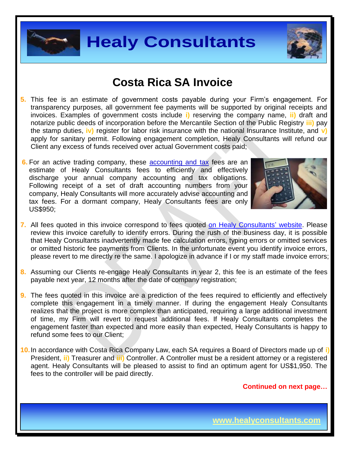



## **Costa Rica SA Invoice**

- **5.** This fee is an estimate of government costs payable during your Firm's engagement. For transparency purposes, all government fee payments will be supported by original receipts and invoices. Examples of government costs include **i)** reserving the company name, **ii)** draft and notarize public deeds of incorporation before the Mercantile Section of the Public Registry **iii)** pay the stamp duties, **iv)** register for labor risk insurance with the national Insurance Institute, and **v)**  apply for sanitary permit. Following engagement completion, Healy Consultants will refund our Client any excess of funds received over actual Government costs paid;
- **6.** For an active trading company, these **[accounting and](http://www.healyconsultants.com/costa-rica-company-registration/accounting-legal/) tax** fees are an estimate of Healy Consultants fees to efficiently and effectively discharge your annual company accounting and tax obligations. Following receipt of a set of draft accounting numbers from your company, Healy Consultants will more accurately advise accounting and tax fees. For a dormant company, Healy Consultants fees are only US\$950;



- **7.** All fees quoted in this invoice correspond to fees quoted [on Healy Consultants'](http://www.healyconsultants.com/company-registration-fees/) website. Please review this invoice carefully to identify errors. During the rush of the business day, it is possible that Healy Consultants inadvertently made fee calculation errors, typing errors or omitted services or omitted historic fee payments from Clients. In the unfortunate event you identify invoice errors, please revert to me directly re the same. I apologize in advance if I or my staff made invoice errors;
- **8.** Assuming our Clients re-engage Healy Consultants in year 2, this fee is an estimate of the fees payable next year, 12 months after the date of company registration;
- **9.** The fees quoted in this invoice are a prediction of the fees required to efficiently and effectively complete this engagement in a timely manner. If during the engagement Healy Consultants realizes that the project is more complex than anticipated, requiring a large additional investment of time, my Firm will revert to request additional fees. If Healy Consultants completes the engagement faster than expected and more easily than expected, Healy Consultants is happy to refund some fees to our Client;
- **10.**In accordance with Costa Rica Company Law, each SA requires a Board of Directors made up of **i)** President, **ii)** Treasurer and **iii)** Controller. A Controller must be a resident attorney or a registered agent. Healy Consultants will be pleased to assist to find an optimum agent for US\$1,950. The fees to the controller will be paid directly.

**Continued on next page…**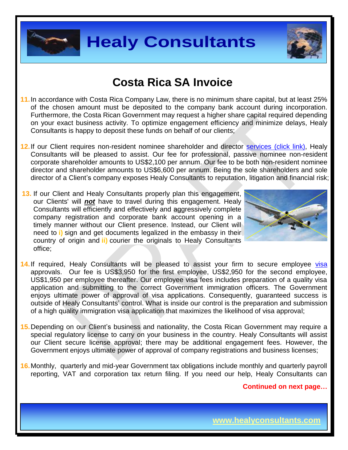



## **Costa Rica SA Invoice**

- **11.**In accordance with Costa Rica Company Law, there is no minimum share capital, but at least 25% of the chosen amount must be deposited to the company bank account during incorporation. Furthermore, the Costa Rican Government may request a higher share capital required depending on your exact business activity. To optimize engagement efficiency and minimize delays, Healy Consultants is happy to deposit these funds on behalf of our clients;
- 12. If our Client requires non-resident nominee shareholder and director services [\(click link\),](http://www.healyconsultants.com/corporate-outsourcing-services/nominee-shareholders-directors/) Healy Consultants will be pleased to assist. Our fee for professional, passive nominee non-resident corporate shareholder amounts to US\$2,100 per annum. Our fee to be both non-resident nominee director and shareholder amounts to US\$6,600 per annum. Being the sole shareholders and sole director of a Client's company exposes Healy Consultants to reputation, litigation and financial risk;
- **13.** If our Client and Healy Consultants properly plan this engagement, our Clients' will *not* have to travel during this engagement. Healy Consultants will efficiently and effectively and aggressively complete company registration and corporate bank account opening in a timely manner without our Client presence. Instead, our Client will need to **i)** sign and get documents legalized in the embassy in their country of origin and **ii)** courier the originals to Healy Consultants office;



- 14. If required, Healy Consultants will be pleased to assist your firm to secure employee [visa](http://www.healyconsultants.com/corporate-advisory-services/migration/) approvals. Our fee is US\$3,950 for the first employee, US\$2,950 for the second employee, US\$1,950 per employee thereafter. Our employee visa fees includes preparation of a quality visa application and submitting to the correct Government immigration officers. The Government enjoys ultimate power of approval of visa applications. Consequently, guaranteed success is outside of Healy Consultants' control. What is inside our control is the preparation and submission of a high quality immigration visa application that maximizes the likelihood of visa approval;
- **15.**Depending on our Client's business and nationality, the Costa Rican Government may require a special regulatory license to carry on your business in the country. Healy Consultants will assist our Client secure license approval; there may be additional engagement fees. However, the Government enjoys ultimate power of approval of company registrations and business licenses;
- **16.**Monthly, quarterly and mid-year Government tax obligations include monthly and quarterly payroll reporting, VAT and corporation tax return filing. If you need our help, Healy Consultants can

**Continued on next page…**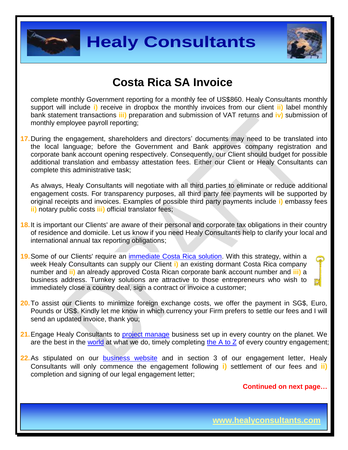



## **Costa Rica SA Invoice**

complete monthly Government reporting for a monthly fee of US\$860. Healy Consultants monthly support will include **i)** receive in dropbox the monthly invoices from our client **ii)** label monthly bank statement transactions **iii)** preparation and submission of VAT returns and **iv)** submission of monthly employee payroll reporting;

**17.**During the engagement, shareholders and directors' documents may need to be translated into the local language; before the Government and Bank approves company registration and corporate bank account opening respectively. Consequently, our Client should budget for possible additional translation and embassy attestation fees. Either our Client or Healy Consultants can complete this administrative task;

As always, Healy Consultants will negotiate with all third parties to eliminate or reduce additional engagement costs. For transparency purposes, all third party fee payments will be supported by original receipts and invoices. Examples of possible third party payments include **i)** embassy fees **ii)** notary public costs **iii)** official translator fees;

- **18.**It is important our Clients' are aware of their personal and corporate tax obligations in their country of residence and domicile. Let us know if you need Healy Consultants help to clarify your local and international annual tax reporting obligations;
- **19.**Some of our Clients' require an [immediate Costa Rica solution.](http://www.healyconsultants.com/turnkey-solutions/) With this strategy, within a week Healy Consultants can supply our Client **i)** an existing dormant Costa Rica company number and **ii)** an already approved Costa Rican corporate bank account number and **iii)** a business address. Turnkey solutions are attractive to those entrepreneurs who wish to immediately close a country deal, sign a contract or invoice a customer;
- **20.**To assist our Clients to minimize foreign exchange costs, we offer the payment in SG\$, Euro, Pounds or US\$. Kindly let me know in which currency your Firm prefers to settle our fees and I will send an updated invoice, thank you;
- 21. Engage Healy Consultants to [project manage](http://www.healyconsultants.com/project-manage-engagements/) business set up in every country on the planet. We are the best in the [world](http://www.healyconsultants.com/best-in-the-world/) at what we do, timely completing the  $A$  to  $Z$  of every country engagement;
- **22.** As stipulated on our **[business website](http://www.healyconsultants.com/)** and in section 3 of our engagement letter, Healy Consultants will only commence the engagement following **i)** settlement of our fees and **ii)** completion and signing of our legal engagement letter;

**Continued on next page…**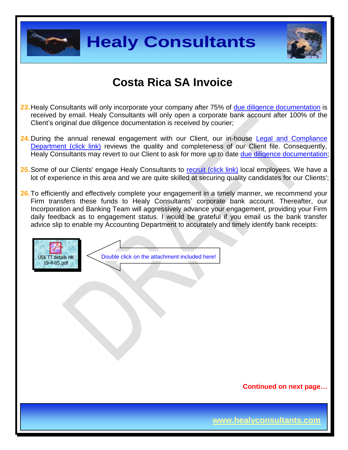



## **Costa Rica SA Invoice**

- **23.**Healy Consultants will only incorporate your company after 75% of [due diligence documentation](http://www.healyconsultants.com/due-diligence/) is received by email. Healy Consultants will only open a corporate bank account after 100% of the Client's original due diligence documentation is received by courier;
- **24.**During the annual renewal engagement with our Client, our in-house [Legal and Compliance](http://www.healyconsultants.com/about-us/key-personnel/cai-xin-profile/)  [Department \(click link\)](http://www.healyconsultants.com/about-us/key-personnel/cai-xin-profile/) reviews the quality and completeness of our Client file. Consequently, Healy Consultants may revert to our Client to ask for more up to date [due diligence documentation;](http://www.healyconsultants.com/due-diligence/)
- 25. Some of our Clients' engage Healy Consultants to [recruit \(click link\)](http://www.healyconsultants.com/corporate-outsourcing-services/how-we-help-our-clients-recruit-quality-employees/) local employees. We have a lot of experience in this area and we are quite skilled at securing quality candidates for our Clients';
- **26.**To efficiently and effectively complete your engagement in a timely manner, we recommend your Firm transfers these funds to Healy Consultants' corporate bank account. Thereafter, our Incorporation and Banking Team will aggressively advance your engagement, providing your Firm daily feedback as to engagement status. I would be grateful if you email us the bank transfer advice slip to enable my Accounting Department to accurately and timely identify bank receipts:



**Continued on next page…**